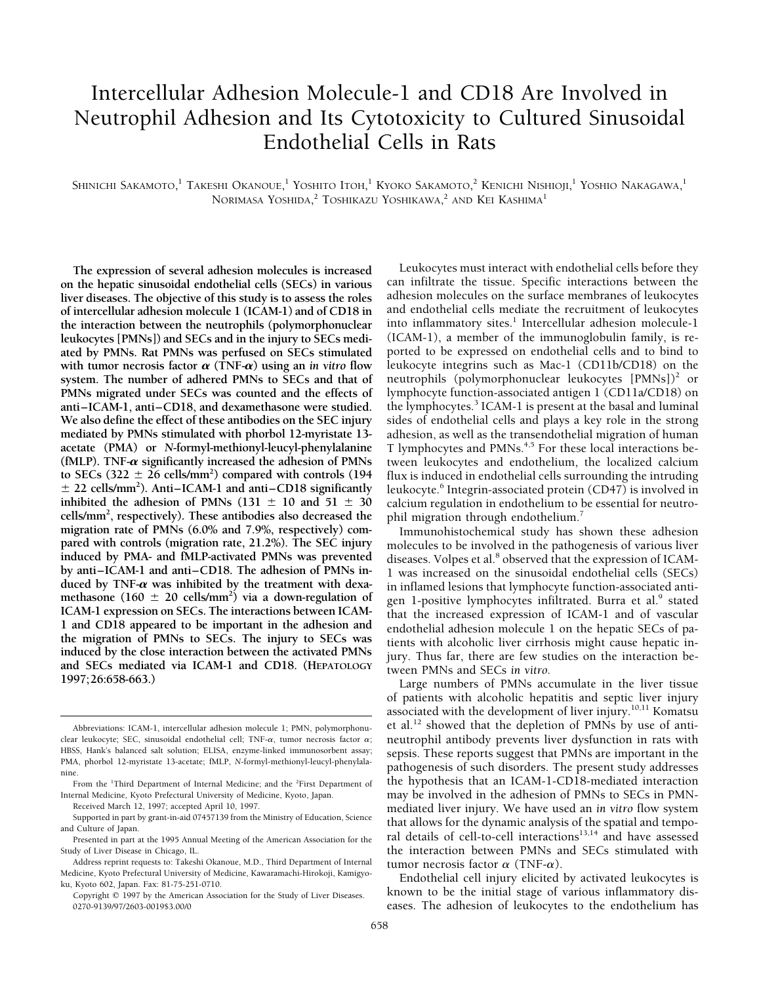# Intercellular Adhesion Molecule-1 and CD18 Are Involved in Neutrophil Adhesion and Its Cytotoxicity to Cultured Sinusoidal Endothelial Cells in Rats

Shinichi Sakamoto,<sup>1</sup> Takeshi Okanoue,<sup>1</sup> Yoshito Itoh,<sup>1</sup> Kyoko Sakamoto,<sup>2</sup> Kenichi Nishioji,<sup>1</sup> Yoshio Nakagawa,<sup>1</sup> NORIMASA YOSHIDA,<sup>2</sup> TOSHIKAZU YOSHIKAWA,<sup>2</sup> AND KEI KASHIMA<sup>1</sup>

on the hepatic sinusoidal endothelial cells (SECs) in various **liver diseases. The objective of this study is to assess the roles** adhesion molecules on the surface membranes of leukocytes **of intercellular adhesion molecule 1 (ICAM-1) and of CD18 in** and endothelial cells mediate the recruitment of leukocytes the interaction between the neutrophils (polymorphonuclear into inflammatory sites.<sup>1</sup> Intercellular adhesion molecule-1<br>leukocytes (PMNs)) and SECs and in the injury to SECs medi- (ICAM-1), a member of the immunoglobulin **leukocytes [PMNs]) and SECs and in the injury to SECs medi-** (ICAM-1), a member of the immunoglobulin family, is re**ated by PMNs. Rat PMNs was perfused on SECs stimulated** ported to be expressed on endothelial cells and to bind to with tumor necrosis factor  $\alpha$  (TNF- $\alpha$ ) using an in vitro flow leukocyte integrins such as Mac-1 (CD11 with tumor necrosis factor  $\alpha$  (TNF- $\alpha$ ) using an *in vitro* flow system. The number of adhered PMNs to SECs and that of neutrophils (polymorphonuclear leukocytes  $[PMNs])^2$  or **PMNs migrated under SECs was counted and the effects of** lymphocyte function-associated antigen 1 (CD11a/CD18) on anti–ICAM-1, anti–CD18, and dexamethasone were studied. the lymphocytes.<sup>3</sup> ICAM-1 is present at the basal and luminal **We also define the effect of these antibodies on the SEC injury** sides of endothelial cells and plays a key role in the strong **mediated by PMNs stimulated with phorbol 12-myristate 13-** adhesion, as well as the transendothelial migration of human **acetate** (PMA) or *N*-formyl-methionyl-leucyl-phenylalanine T lymphocytes and PMNs.<sup>4,5</sup> For these local interactions be-**(fMLP). TNF-a significantly increased the adhesion of PMNs** tween leukocytes and endothelium, the localized calcium to SECs  $(322 \pm 26 \text{ cells/mm}^2)$  compared with controls  $(194$  $\pm$  22 cells/mm<sup>2</sup>). Anti–ICAM-1 and anti–CD18 significantly  $\pm$  22 cells/mm<sup>2</sup>). Anti–ICAM-1 and anti–CD18 significantly leukocyte.<sup>6</sup> Integrin-associated protein (CD47) is involved in inhibited the adhesion of PMNs (131  $\pm$  10 and 51  $\pm$  30 calcium regulation in endothelium to **cells/mm2 , respectively). These antibodies also decreased the** phil migration through endothelium.7 migration rate of PMNs (6.0% and 7.9%, respectively) com-<br>pared with controls (migration rate, 21.2%). The SEC injury<br>induced by PMA- and fMLP-activated PMNs was prevented<br>by anti-ICAM-1 and anti-CD18. The adhesion of PMN duced by TNF- $\alpha$  was inhibited by the treatment with dexa-<br>methasone (160  $\pm$  20 cells/mm<sup>2</sup>) via a down-regulation of gen 1-positive lymphocytes infiltrated. Burra et al.<sup>9</sup> stated<br>ICAM-1 expression on SECs. The intera ICAM-1 expression on SECs. The interactions between ICAM-<br>
1 and CD18 appeared to be important in the adhesion and<br>
that the increased expression of ICAM-1 and of vascular<br>
endothelial adhesion molecule 1 on the hepatic SE and SECs mediated via ICAM-1 and CD18. (HEPATOLOGY tween PMNs and SECs in vitro.<br>1997;26:658-663.) Large numbers of PMNs accumulate in the liver tissue

**The expression of several adhesion molecules is increased** Leukocytes must interact with endothelial cells before they flux is induced in endothelial cells surrounding the intruding calcium regulation in endothelium to be essential for neutro-<br>phil migration through endothelium.<sup>7</sup>

gen 1-positive lymphocytes infiltrated. Burra et al.<sup>9</sup> stated that the increased expression of ICAM-1 and of vascular

of patients with alcoholic hepatitis and septic liver injury associated with the development of liver injury.10,11 Komatsu Abbreviations: ICAM-1, intercellular adhesion molecule 1; PMN, polymorphonu- et al.<sup>12</sup> showed that the depletion of PMNs by use of anticlear leukocyte; SEC, sinusoidal endothelial cell; TNF-a, tumor necrosis factor a; neutrophil antibody prevents liver dysfunction in rats with<br>HBSS, Hank's balanced salt solution; ELISA, enzyme-linked immunosorbent assay; HBSS, Hank's balanced salt solution; ELISA, enzyme-linked immunosorbent assay; sepsis. These reports suggest that PMNs are important in the PMA, phorbol 12-myristate 13-acetate; fMLP, N-formyl-methionyl-leucyl-phenylala-<br>n the hypothesis that an ICAM-1-CD18-mediated interaction Internal Medicine, Kyoto Prefectural University of Medicine, Kyoto, Japan. may be involved in the adhesion of PMNs to SECs in PMN-<br>mediated liver injury. We have used an *in vitro* flow system Received March 12, 1997; accepted April 10, 1997.<br>
Supported in part by grant-in-aid 07457139 from the Ministry of Education, Science<br>
and Clubure of Japan.<br>
Precented in part at the 1005 Appul Meeting of the American Acce

Medicine, Kyoto Prefectural University of Medicine, Kawaramachi-Hirokoji, Kamigyo-<br>ku, Kyoto 602, Japan. Fax: 81-75-251-0710.<br>Copyright © 1997 by the American Association for the Study of Liver Diseases. known to be the in known to be the initial stage of various inflammatory dis-0270-9139/97/2603-0019\$3.00/0 eases. The adhesion of leukocytes to the endothelium has

From the <sup>1</sup>Third Department of Internal Medicine; and the <sup>2</sup>

Presented in part at the 1995 Annual Meeting of the American Association for the Study of Liver Disease in Chicago, IL. The interaction between PMNs and SECs stimulated with

Address reprint requests to: Takeshi Okanoue, M.D., Third Department of Internal tumor necrosis factor  $\alpha$  (TNF- $\alpha$ ).<br>Medicine, Kyoto Prefectural University of Medicine, Kawaramachi-Hirokoji, Kamigyo-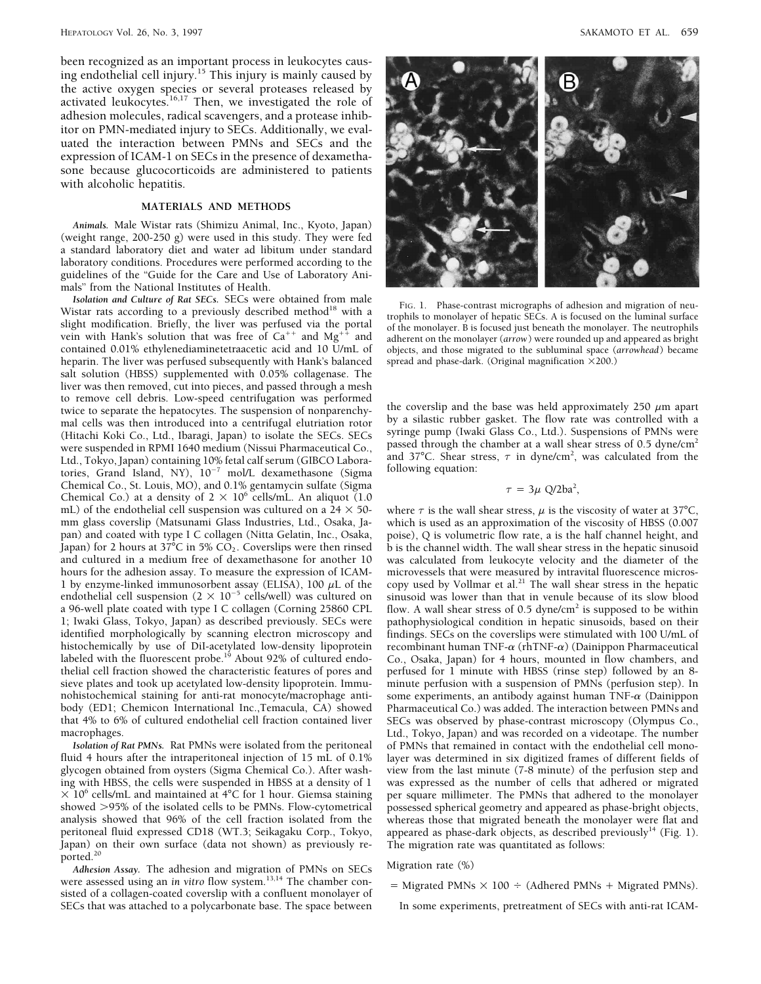been recognized as an important process in leukocytes causing endothelial cell injury.<sup>15</sup> This injury is mainly caused by the active oxygen species or several proteases released by activated leukocytes.<sup>16,17</sup> Then, we investigated the role of adhesion molecules, radical scavengers, and a protease inhibitor on PMN-mediated injury to SECs. Additionally, we evaluated the interaction between PMNs and SECs and the expression of ICAM-1 on SECs in the presence of dexamethasone because glucocorticoids are administered to patients with alcoholic hepatitis.

## **MATERIALS AND METHODS**

*Animals.* Male Wistar rats (Shimizu Animal, Inc., Kyoto, Japan) (weight range, 200-250 g) were used in this study. They were fed a standard laboratory diet and water ad libitum under standard laboratory conditions. Procedures were performed according to the guidelines of the ''Guide for the Care and Use of Laboratory Animals" from the National Institutes of Health.<br>Isolation and Culture of Rat SECs. SECs were obtained from male

**EXECULARE SECS** SECS WELE ODIATION THATE FIG. 1. Phase-contrast micrographs of adhesion and migration of neu-<br>Wistar rats according to a previously described method<sup>18</sup> with a<br>slight modification. Briefly, the liver was contained 0.01% ethylenediaminetetraacetic acid and 10 U/mL of objects, and those migrated to the subluminal space (*a*<br>heparin. The liver was perfused subsequently with Hank's balanced spread and phase-dark. (Original mag heparin. The liver was perfused subsequently with Hank's balanced salt solution (HBSS) supplemented with 0.05% collagenase. The liver was then removed, cut into pieces, and passed through a mesh to remove cell debris. Low-speed centrifugation was performed<br>twice to separate the hepatocytes. The suspension of nonparenchy-<br>mal cells was then introduced into a centrifugal elutriation rotor by a silastic rubber gaske mal cells was then introduced into a centrifugal elutriation rotor by a silastic rubber gasket. The flow rate was controlled with a<br>(Hitachi Koki Co., Ltd., Ibaragi, Japan) to isolate the SECs. SECs syringe pump (Iwaki Gla were suspended in RPMI 1640 medium (Nissui Pharmaceutical Co., Ltd., Tokyo, Japan) containing 10% fetal calf serum (GIBCO Laboratories, Grand Island, NY),  $10^{-7}$  mol/L dexamethasone (Sigma following equation: Chemical Co., St. Louis, MO), and 0.1% gentamycin sulfate (Sigma Chemical Co.) at a density of  $2 \times 10^6$  cells/mL. An aliquot (1.0) mL) of the endothelial cell suspension was cultured on a 24  $\times$  50- where  $\tau$  is the wall shear stress,  $\mu$  is the viscosity of water at 37°C, mm glass coverslip (Matsunami Glass Industries, Ltd., Osaka, Ia- which is u mm glass coverslip (Matsunami Glass Industries, Ltd., Osaka, Ja- which is used as an approximation of the viscosity of HBSS (0.007 Japan) for 2 hours at 37°C in 5%  $CO<sub>2</sub>$ . Coverslips were then rinsed and cultured in a medium free of dexamethasone for another 10 was calculated from leukocyte velocity and the diameter of the hours for the adhesion assay. To measure the expression of ICAM-<br>1 by enzyme-linked immunosorbent assay (ELISA), 100  $\mu$ L of the copy used by Vollmar et al.<sup>21</sup> The wall shear stress in the hepatic 1 by enzyme-linked immunosorbent assay (ELISA), 100  $\mu$ L of the copy used by Vollmar et al.<sup>21</sup> The wall shear stress in the hepatic endothelial cell suspension ( $2 \times 10^{-5}$  cells/well) was cultured on sinusoid was lower a 96-well plate coated with type I C collagen (Corning 25860 CPL flow. A wall shear stress of 0.5 dyne/cm<sup>2</sup> is supposed to be within 1; Iwaki Glass, Tokyo, Japan) as described previously. SECs were pathophysiological condition in hepatic sinusoids, based on their<br>identified morphologically by scanning electron microscopy and findings. SECs on the covers identified morphologically by scanning electron microscopy and findings. SECs on the coverslips were stimulated with 100 U/mL of histochemically by use of DiI-acetylated low-density lipoprotein recombinant human TNF- $\alpha$  labeled with the fluorescent probe.<sup>19</sup> About 92% of cultured endo- Co., Osaka, Japan) for 4 hours, mounted in flow chambers, and thelial cell fraction showed the characteristic features of pores and perfused for 1 minute with HBSS (rinse step) followed by an 8 sieve plates and took up acetylated low-density lipoprotein. Immu-<br>nohistochemical staining for anti-rat monocyte/macrophage anti-<br>some experiments, an antibody against human TNF- $\alpha$  (Dainippon body (ED1; Chemicon International Inc.,Temacula, CA) showed that 4% to 6% of cultured endothelial cell fraction contained liver SECs was observed by phase-contrast microscopy (Olympus Co.,

Japan) on their own surface (data not shown) as previously re- The migration rate was quantitated as follows: ported.<sup>20</sup>

Adhesion Assay. The adhesion and migration of PMNs on SECs Migration rate (%) were assessed using an *in vitro* flow system.<sup>13,14</sup> The chamber con-<br>sisted of a collagen-coated coverslip with a confluent monolayer of<br> $=$  Migrated PMNs  $\times$  100  $\div$  (Adhered PMNs + Migrated PMNs). SECs that was attached to a polycarbonate base. The space between In some experiments, pretreatment of SECs with anti-rat ICAM-



passed through the chamber at a wall shear stress of 0.5 dyne/cm<sup>2</sup> and 37°C. Shear stress,  $\tau$  in dyne/cm<sup>2</sup>, was calculated from the

$$
\tau = 3\mu \text{ Q}/2\text{ba}^2
$$

poise), Q is volumetric flow rate, a is the half channel height, and<br>b is the channel width. The wall shear stress in the hepatic sinusoid sinusoid was lower than that in venule because of its slow blood recombinant human TNF- $\alpha$  (rhTNF- $\alpha$ ) (Dainippon Pharmaceutical some experiments, an antibody against human  $\text{TNF-}\alpha$  (Dainippon Pharmaceutical Co.) was added. The interaction between PMNs and macrophages.<br>Isolation of Rat PMNs. Rat PMNs were isolated from the peritoneal of PMNs that remained in contact with the endothelial cell mono-*Isolation of Rat PMNs*. Rat PMNs were isolated from the peritoneal of PMNs that remained in contact with the endothelial cell mono-<br>fluid 4 hours after the intraperitoneal injection of 15 mL of 0.1% layer was determined i fluid 4 hours after the intraperitoneal injection of 15 mL of 0.1% layer was determined in six digitized frames of different fields of glycogen obtained from oysters (Sigma Chemical Co.). After wash-<br>view from the last min view from the last minute ( $7-8$  minute) of the perfusion step and ing with HBSS, the cells were suspended in HBSS at a density of 1 was expressed as the number of cells that adhered or migrated  $\times$  10<sup>6</sup> cells/mL and maintained at 4<sup>o</sup>C for 1 hour. Giemsa staining per square millimeter. The PMNs that adhered to the monolayer showed >95% of the isolated cells to be PMNs. Flow-cytometrical possessed spherical geo showed >95% of the isolated cells to be PMNs. Flow-cytometrical possessed spherical geometry and appeared as phase-bright objects, analysis showed that 96% of the cell fraction isolated from the whereas those that migrated whereas those that migrated beneath the monolayer were flat and peritoneal fluid expressed CD18 (WT.3; Seikagaku Corp., Tokyo, appeared as phase-dark objects, as described previously<sup>14</sup> (Fig. 1).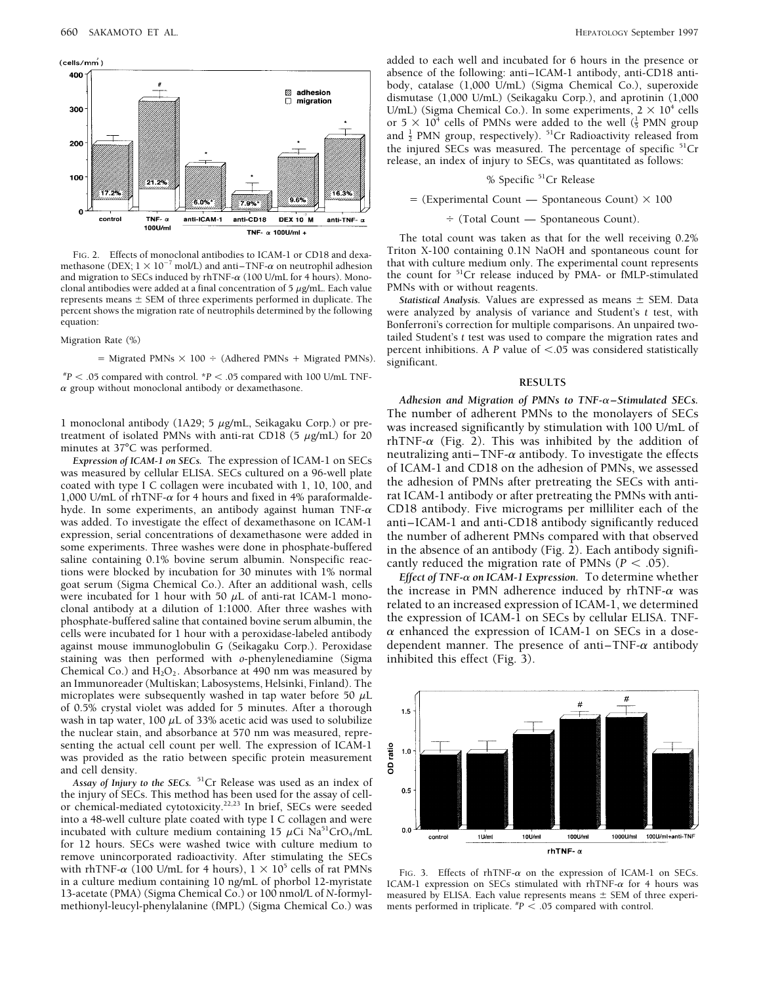

and migration to SECs induced by rhTNF- $\alpha$  (100 U/mL for 4 hours). Mono-<br>clonal antibodies were added at a final concentration of 5  $\mu$ g/mL. Each value PMNs with or without reagents. clonal antibodies were added at a final concentration of 5  $\mu$ g/mL. Each value represents means  $\pm$  SEM of three experiments performed in duplicate. The *Statistical Analysis*. Values are expressed as means  $\pm$  SEM. Data percent shows the migration rate of neutrophils determined by the following we percent shows the migration rate of neutrophils determined by the following were analyzed by analysis of variance and Student's *t* test, with

 $*P < .05$  compared with control.  $*P < .05$  compared with 100 U/mL TNF- **RESULTS RESULTS RESULTS** 

coated with type I C collagen were incubated with 1, 10, 100, and<br>1,000 U/mL of rhTNF- $\alpha$  for 4 hours and fixed in 4% paraformalde-<br>hyde. In some experiments, an antibody against human TNF- $\alpha$  CD18 antibody. Five microg hyde. In some experiments, an antibody against human  $TNF-\alpha$  was added. To investigate the effect of dexamethasone on ICAM-1 was added. To investigate the effect of dexamethasone on ICAM-1 anti–ICAM-1 and anti-CD18 antibody significantly reduced<br>expression, serial concentrations of dexamethasone were added in the number of adherent PMNs compared expression, serial concentrations of dexamethasone were added in<br>some experiments. Three washes were done in phosphate-buffered<br>in the absence of an antibody (Fig. 2). Each antibody signifi-<br>saline containing 0.1% bovine phosphate-buffered saline that contained bovine serum albumin, the the expression of ICAM-1 on SECs by cellular ELISA. INF-<br>cells were incubated for 1 hour with a peroxidase-labeled antibody  $\alpha$  enhanced the expression o against mouse immunoglobulin G (Seikagaku Corp.). Peroxidase dependent manner. The presence of anti–TNF-a antibody staining was then performed with *o*-phenylenediamine (Sigma inhibited this effect (Fig. 3). Chemical Co.) and  $H_2O_2$ . Absorbance at 490 nm was measured by an Immunoreader (Multiskan; Labosystems, Helsinki, Finland). The microplates were subsequently washed in tap water before 50  $\mu$ L of 0.5% crystal violet was added for 5 minutes. After a thorough wash in tap water, 100  $\mu$ L of 33% acetic acid was used to solubilize the nuclear stain, and absorbance at 570 nm was measured, representing the actual cell count per well. The expression of ICAM-1 was provided as the ratio between specific protein measurement and cell density.

Assay of Injury to the SECs. <sup>51</sup>Cr Release was used as an index of the injury of SECs. This method has been used for the assay of cellor chemical-mediated cytotoxicity.<sup>22,23</sup> In brief, SECs were seeded into a 48-well culture plate coated with type I C collagen and were incubated with culture medium containing 15  $\mu$ Ci Na<sup>51</sup>CrO<sub>4</sub>/mL for 12 hours. SECs were washed twice with culture medium to remove unincorporated radioactivity. After stimulating the SECs with rhTNF- $\alpha$  (100 U/mL for 4 hours),  $1 \times 10^5$  cells of rat PMNs<br>in a culture medium containing 10 ng/mL of phorbol 12-myristate<br>13-acetate (PMA) (Sigma Chemical Co.) or 100 nmol/L of N-formyl-<br>measured by ELISA. Each methionyl-leucyl-phenylalanine (fMPL) (Sigma Chemical Co.) was

added to each well and incubated for 6 hours in the presence or absence of the following: anti–ICAM-1 antibody, anti-CD18 antibody, catalase (1,000 U/mL) (Sigma Chemical Co.), superoxide dismutase (1,000 U/mL) (Seikagaku Corp.), and aprotinin (1,000 U/mL) (Sigma Chemical Co.). In some experiments,  $2 \times 10^4$  cells or  $5 \times 10^4$  cells of PMNs were added to the well  $(\frac{1}{5}$  PMN group and  $\frac{1}{2}$  PMN group, respectively).  $^{51}Cr$  Radioactivity released from the injured SECs was measured. The percentage of specific  $51Cr$ release, an index of injury to SECs, was quantitated as follows:

% Specific 51Cr Release

 $=$  (Experimental Count — Spontaneous Count)  $\times$  100

 $\div$  (Total Count — Spontaneous Count).

The total count was taken as that for the well receiving 0.2% FIG. 2. Effects of monoclonal antibodies to ICAM-1 or CD18 and dexa-<br>methasone (DEX;  $1 \times 10^{-7}$  mol/L) and anti-TNF- $\alpha$  on neutrophil adhesion that with culture medium only. The experimental count represents

Bonferroni's correction for multiple comparisons. An unpaired two-Migration Rate (%) tailed Student's *t* test was used to compare the migration rates and percent inhibitions. A *P* value of  $\lt$ .05 was considered statistically<br>= Migrated PMNs + Migrated PMNs). significant.

*Adhesion and Migration of PMNs to TNF-*a*–Stimulated SECs.* 1 monoclonal antibody (1A29; 5  $\mu$ g/mL, Seikagaku Corp.) or pre-<br>
treatment of isolated PMNs with anti-rat CD18 (5  $\mu$ g/mL) for 20<br>
minutes at 37°C was performed.<br>
Expression of ICAM-1 on SECs. The expression of ICAM-1



measured by ELISA. Each value represents means  $\pm$  SEM of three experi-<br>ments performed in triplicate.  ${}^{\#}P$  < .05 compared with control.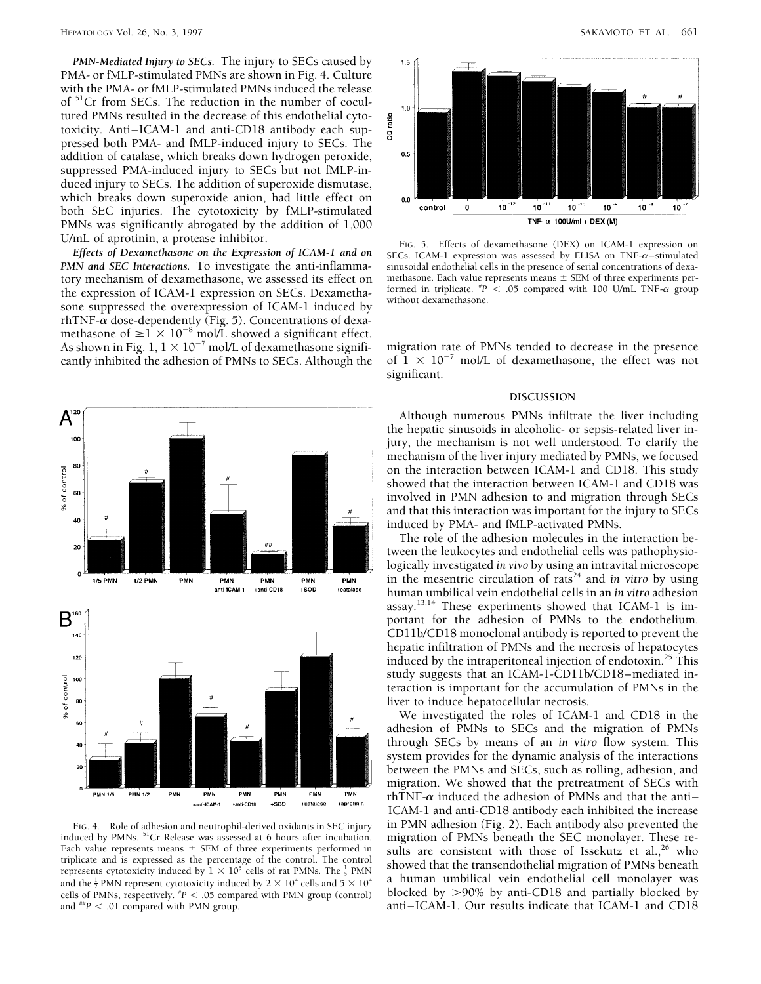*PMN-Mediated Injury to SECs.* The injury to SECs caused by PMA- or fMLP-stimulated PMNs are shown in Fig. 4. Culture with the PMA- or fMLP-stimulated PMNs induced the release of <sup>51</sup>Cr from SECs. The reduction in the number of cocultured PMNs resulted in the decrease of this endothelial cytotoxicity. Anti–ICAM-1 and anti-CD18 antibody each suppressed both PMA- and fMLP-induced injury to SECs. The addition of catalase, which breaks down hydrogen peroxide, suppressed PMA-induced injury to SECs but not fMLP-induced injury to SECs. The addition of superoxide dismutase, which breaks down superoxide anion, had little effect on both SEC injuries. The cytotoxicity by fMLP-stimulated PMNs was significantly abrogated by the addition of 1,000

tory mechanism of dexamethasone, we assessed its effect on the expression of ICAM-1 expression on SECs. Dexametha-FIFE-a group the expression of *PERSICA* compared without dexamethasone.<br>Sone suppressed the overexpression of ICAM-1 induced by rhTNF- $\alpha$  dose-dependently (Fig. 5). Concentrations of dexamethasone of  $\geq 1 \times 10^{-8}$  mol/L showed a significant effect. As shown in Fig. 1,  $1 \times 10^{-7}$  mol/L of dexamethasone signifi- migration rate of PMNs tended to decrease in the presence cantly inhibited the adhesion of PMNs to SECs. Although the of  $1 \times 10^{-7}$  mol/L of dexamethasone, cantly inhibited the adhesion of PMNs to SECs. Although the



Each value represents means  $\pm$  SEM of three experiments performed in<br>triplicate and is expressed as the percentage of the control. The control showed that the transposed the light migration of PMNs beneath triplicate and is expressed as the percentage of the control. The control showed that the transendothelial migration of PMNs beneath represents cytotoxicity induced by 1  $\times$  10<sup>5</sup> cells of rat PMNs. The  $\frac{1}{5}$  PMNs. T cells of PMNs, respectively.  $^{*}P < .05$  compared with PMN group (control) and  $^{*}P < .01$  compared with PMN group.



U/mL of aprotinin, a protease inhibitor.<br> *Effects of Dexamethasone on the Expression of ICAM-1 and on*<br> *Effects of Dexamethasone on the Expression of ICAM-1 and on*<br> *SECs. ICAM-1 expression was assessed by ELISA on TNF-PMN sinusoidal endothelial cells in the presence of serial concentrations of dexa-* methasone. Each value represents means  $\pm$  SEM of three experiments performed in triplicate.  $^{*}P$  < .05 compared with 100 U/mL TNF- $\alpha$  group

significant.

## **DISCUSSION**

Although numerous PMNs infiltrate the liver including the hepatic sinusoids in alcoholic- or sepsis-related liver injury, the mechanism is not well understood. To clarify the mechanism of the liver injury mediated by PMNs, we focused on the interaction between ICAM-1 and CD18. This study showed that the interaction between ICAM-1 and CD18 was involved in PMN adhesion to and migration through SECs and that this interaction was important for the injury to SECs induced by PMA- and fMLP-activated PMNs.

The role of the adhesion molecules in the interaction between the leukocytes and endothelial cells was pathophysiologically investigated *in vivo* by using an intravital microscope in the mesentric circulation of rats<sup>24</sup> and *in vitro* by using human umbilical vein endothelial cells in an *in vitro* adhesion assay.<sup>13,14</sup> These experiments showed that ICAM-1 is important for the adhesion of PMNs to the endothelium. CD11b/CD18 monoclonal antibody is reported to prevent the hepatic infiltration of PMNs and the necrosis of hepatocytes induced by the intraperitoneal injection of endotoxin.<sup>25</sup> This study suggests that an ICAM-1-CD11b/CD18–mediated interaction is important for the accumulation of PMNs in the liver to induce hepatocellular necrosis.

We investigated the roles of ICAM-1 and CD18 in the adhesion of PMNs to SECs and the migration of PMNs through SECs by means of an *in vitro* flow system. This system provides for the dynamic analysis of the interactions between the PMNs and SECs, such as rolling, adhesion, and migration. We showed that the pretreatment of SECs with rhTNF- $\alpha$  induced the adhesion of PMNs and that the anti-ICAM-1 and anti-CD18 antibody each inhibited the increase FIG. 4. Role of adhesion and neutrophil-derived oxidants in SEC injury in PMN adhesion (Fig. 2). Each antibody also prevented the induced by PMNs  $^{51}$ Cr Release was assessed at 6 hours after incubation. migration of PMNs represents cytotoxicity induced by  $1 \times 10^5$  cells of rat PMNs. The  $\frac{1}{5}$  PMN showed that the transcribe internal ingration of 1 MNs beneath<br>and the  $\frac{1}{2}$  PMN represent cytotoxicity induced by  $2 \times 10^4$  cells an *P* blocked by  $>90\%$  by anti-CD18 and partially blocked by anti-ICAM-1. Our results indicate that ICAM-1 and CD18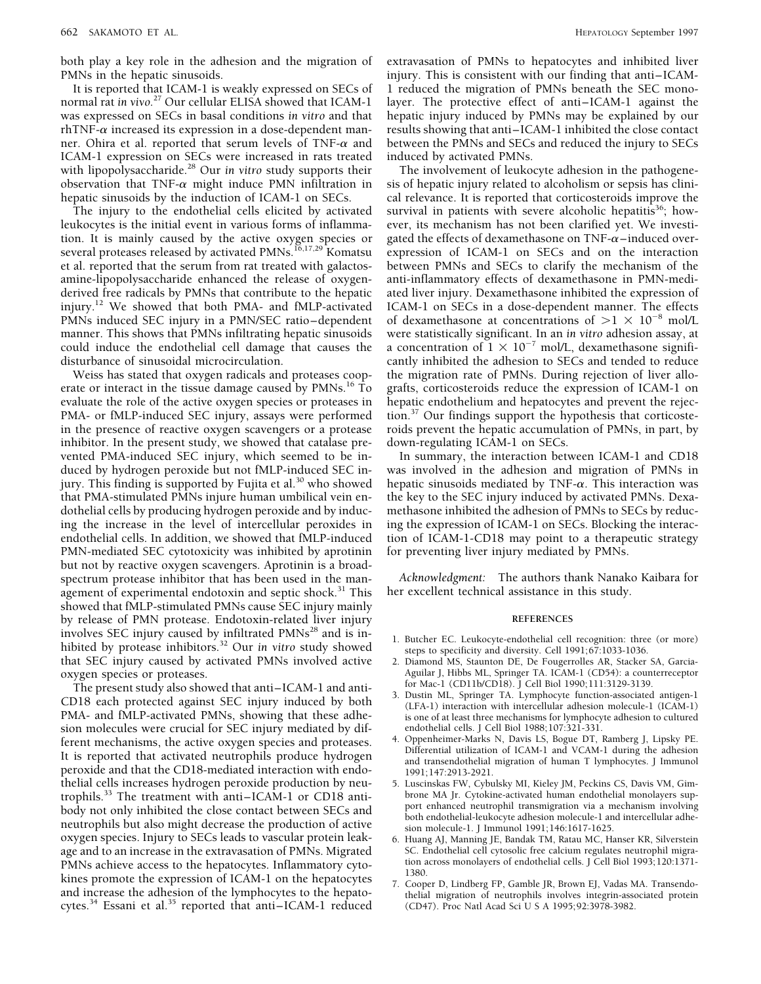both play a key role in the adhesion and the migration of extravasation of PMNs to hepatocytes and inhibited liver

It is reported that ICAM-1 is weakly expressed on SECs of 1 reduced the migration of PMNs beneath the SEC mono-<br>normal rat in vivo.<sup>27</sup> Our cellular ELISA showed that ICAM-1 layer. The protective effect of anti–ICAM-1 agai normal rat *in vivo.*<sup>27</sup> Our cellular ELISA showed that ICAM-1 layer. The protective effect of anti–ICAM-1 against the was expressed on SECs in basal conditions *in vitro* and that hepatic injury induced by PMNs may be ex rhTNF-a increased its expression in a dose-dependent man- results showing that anti–ICAM-1 inhibited the close contact ner. Ohira et al. reported that serum levels of TNF- $\alpha$  and between the PMNs and SECs and reduced the injury to SECs ICAM-1 expression on SECs were increased in rats treated induced by activated PMNs. with lipopolysaccharide.<sup>28</sup> Our *in vitro* study supports their The involvement of leukocyte adhesion in the pathogene-<br>observation that TNF- $\alpha$  might induce PMN infiltration in sis of hepatic injury related to alcoholis

leukocytes is the initial event in various forms of inflamma- ever, its mechanism has not been clarified yet. We investition. It is mainly caused by the active oxygen species or gated the effects of dexamethasone on  $TNF-\alpha$ –induced overseveral proteases released by activated PMNs.<sup>16,17,29</sup> Komatsu expression of ICAM-1 on SECs and on the interaction et al. reported that the serum from rat treated with galactos-<br>between PMNs and SECs to clarify the mechan amine-lipopolysaccharide enhanced the release of oxygen- anti-inflammatory effects of dexamethasone in PMN-mediderived free radicals by PMNs that contribute to the hepatic ated liver injury. Dexamethasone inhibited the expression of injury.<sup>12</sup> We showed that both PMA- and fMLP-activated ICAM-1 on SECs in a dose-dependent manner. The effects PMNs induced SEC injury in a PMN/SEC ratio–dependent of dexamethasone at concentrations of  $>1 \times 10^{-8}$  mol/L manner. This shows that PMNs infiltrating hepatic sinusoids were statistically significant. In an *in vitro* adhesion assay, at could induce the endothelial cell damage that causes the  $\alpha$  concentration of  $1 \times 10^{-7}$  mol/L, dexamethasone signifi-

erate or interact in the tissue damage caused by PMNs.<sup>16</sup> To grafts, corticosteroids reduce the expression of ICAM-1 on evaluate the role of the active oxygen species or proteases in hepatic endothelium and hepatocytes and prevent the rejec-PMA- or fMLP-induced SEC injury, assays were performed tion.<sup>37</sup> Our findings support the hypothesis that corticostein the presence of reactive oxygen scavengers or a protease roids prevent the hepatic accumulation of PMNs, in part, by inhibitor. In the present study, we showed that catalase pre- down-regulating ICAM-1 on SECs. vented PMA-induced SEC injury, which seemed to be in- In summary, the interaction between ICAM-1 and CD18 duced by hydrogen peroxide but not fMLP-induced SEC in- was involved in the adhesion and migration of PMNs in jury. This finding is supported by Fujita et al.<sup>30</sup> who showed hepatic sinusoids mediated by TNF- $\alpha$ . This interaction was that PMA-stimulated PMNs injure human umbilical vein en- the key to the SEC injury induced by activated PMNs. Dexadothelial cells by producing hydrogen peroxide and by induc- methasone inhibited the adhesion of PMNs to SECs by reducing the increase in the level of intercellular peroxides in ing the expression of ICAM-1 on SECs. Blocking the interacendothelial cells. In addition, we showed that fMLP-induced tion of ICAM-1-CD18 may point to a therapeutic strategy<br>PMN-mediated SEC cytotoxicity was inhibited by aprotinin for preventing liver injury mediated by PMNs. PMN-mediated SEC cytotoxicity was inhibited by aprotinin but not by reactive oxygen scavengers. Aprotinin is a broadspectrum protease inhibitor that has been used in the man- *Acknowledgment:* The authors thank Nanako Kaibara for agement of experimental endotoxin and septic shock.<sup>31</sup> This her excellent technical assistance in this study. showed that fMLP-stimulated PMNs cause SEC injury mainly by release of PMN protease. Endotoxin-related liver injury **REFERENCES** involves SEC injury caused by infiltrated PMNs<sup>28</sup> and is in-<br>hibited by protease inhibitors.<sup>32</sup> Our *in vitro* study showed steps to specificity and diversity. Cell 1991;67:1033-1036. that SEC injury caused by activated PMNs involved active 2. Diamond MS, Staunton DE, De Fougerrolles AR, Stacker SA, Garcia-

The present study also showed that anti-ICAM-1 and anti-<br>CD18 each protected against SEC injury induced by both<br>CD18 each protected against SEC injury induced by both<br>(LFA-1) interaction with intercellular adhesion molecul PMA- and fMLP-activated PMNs, showing that these adhe- is one of at least three mechanisms for lymphocyte adhesion to cultured sion molecules were crucial for SEC injury mediated by dif-<br>ferent mechanisms, the active oxygen species and proteases 4. Oppenheimer-Marks N, Davis LS, Bogue DT, Ramberg J, Lipsky PE. Ferent mechanisms, the active oxygen species and proteases.<br>It is reported that activated neutrophils produce hydrogen<br>peroxide and that the CD18-mediated interaction with endo-<br>thelial cells increases hydrogen peroxide pr thelial cells increases hydrogen peroxide production by neutrophils.<sup>33</sup> The treatment with anti–ICAM-1 or CD18 anti-<br>body not only inhibited the close contact between SECs and port enhanced neutrophil transmigration via a mechanism involving body not only inhibited the close contact between SECs and<br>neutrophils but also might decrease the production of active<br>oxygen species. Injury to SECs leads to vascular protein leak-<br>oxygen species. Injury to SECs leads to oxygen species. Injury to SECs leads to vascular protein leak-<br>age and to an increase in the extravasation of PMNs. Migrated SC. Endothelial cell cytosolic free calcium regulates neutrophil migraage and to an increase in the extravasation of PMNs. Migrated scheme is seen alcotted to an increase in the extravasation of PMNs. Migrated scheme is cell cytosolic free calcium regulates neutrophil migra-<br>PMNs achieve acc PMNs achieve access to the hepatocytes. Inflammatory cyto-<br>kines promote the expression of ICAM-1 on the hepatocytes<br>and increase the adhesion of the lymphocytes to the hepatocytes<br>cytes.<sup>34</sup> Essani et al.<sup>35</sup> reported tha cytes.<sup>34</sup> Essani et al.<sup>35</sup> reported that anti–ICAM-1 reduced

PMNs in the hepatic sinusoids. injury. This is consistent with our finding that anti–ICAM-<br>It is reported that ICAM-1 is weakly expressed on SECs of 1 reduced the migration of PMNs beneath the SEC monohepatic injury induced by PMNs may be explained by our

observation that TNF- $\alpha$  might induce PMN infiltration in sis of hepatic injury related to alcoholism or sepsis has clini-<br>hepatic sinusoids by the induction of ICAM-1 on SECs. all relevance. It is reported that corticost cal relevance. It is reported that corticosteroids improve the The injury to the endothelial cells elicited by activated survival in patients with severe alcoholic hepatitis<sup>36</sup>; howbetween PMNs and SECs to clarify the mechanism of the disturbance of sinusoidal microcirculation. cantly inhibited the adhesion to SECs and tended to reduce<br>Weiss has stated that oxygen radicals and proteases coop-<br>the migration rate of PMNs. During rejection of liver allothe migration rate of PMNs. During rejection of liver allo-

- 
- oxygen species or proteases. Aguilar J, Hibbs ML, Springer TA. ICAM-1 (CD54): a counterreceptor
	-
	-
	-
	-
	-